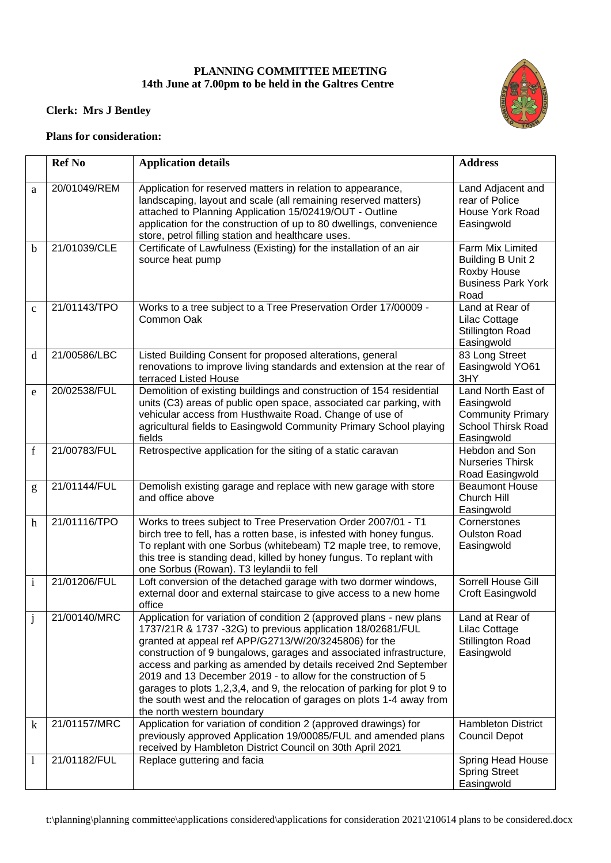## **PLANNING COMMITTEE MEETING 14th June at 7.00pm to be held in the Galtres Centre**



## **Clerk: Mrs J Bentley**

## **Plans for consideration:**

|              | <b>Ref No</b> | <b>Application details</b>                                                                                                                                                                                                                                                                                                                                                                                                                                                                                                                                                               | <b>Address</b>                                                                                          |
|--------------|---------------|------------------------------------------------------------------------------------------------------------------------------------------------------------------------------------------------------------------------------------------------------------------------------------------------------------------------------------------------------------------------------------------------------------------------------------------------------------------------------------------------------------------------------------------------------------------------------------------|---------------------------------------------------------------------------------------------------------|
| a            | 20/01049/REM  | Application for reserved matters in relation to appearance,<br>landscaping, layout and scale (all remaining reserved matters)<br>attached to Planning Application 15/02419/OUT - Outline<br>application for the construction of up to 80 dwellings, convenience<br>store, petrol filling station and healthcare uses.                                                                                                                                                                                                                                                                    | Land Adjacent and<br>rear of Police<br><b>House York Road</b><br>Easingwold                             |
| b            | 21/01039/CLE  | Certificate of Lawfulness (Existing) for the installation of an air<br>source heat pump                                                                                                                                                                                                                                                                                                                                                                                                                                                                                                  | Farm Mix Limited<br>Building B Unit 2<br>Roxby House<br><b>Business Park York</b><br>Road               |
| $\mathbf{C}$ | 21/01143/TPO  | Works to a tree subject to a Tree Preservation Order 17/00009 -<br>Common Oak                                                                                                                                                                                                                                                                                                                                                                                                                                                                                                            | Land at Rear of<br>Lilac Cottage<br><b>Stillington Road</b><br>Easingwold                               |
| d            | 21/00586/LBC  | Listed Building Consent for proposed alterations, general<br>renovations to improve living standards and extension at the rear of<br>terraced Listed House                                                                                                                                                                                                                                                                                                                                                                                                                               | 83 Long Street<br>Easingwold YO61<br>3HY                                                                |
| e            | 20/02538/FUL  | Demolition of existing buildings and construction of 154 residential<br>units (C3) areas of public open space, associated car parking, with<br>vehicular access from Husthwaite Road. Change of use of<br>agricultural fields to Easingwold Community Primary School playing<br>fields                                                                                                                                                                                                                                                                                                   | Land North East of<br>Easingwold<br><b>Community Primary</b><br><b>School Thirsk Road</b><br>Easingwold |
| $\mathbf f$  | 21/00783/FUL  | Retrospective application for the siting of a static caravan                                                                                                                                                                                                                                                                                                                                                                                                                                                                                                                             | Hebdon and Son<br><b>Nurseries Thirsk</b><br>Road Easingwold                                            |
| g            | 21/01144/FUL  | Demolish existing garage and replace with new garage with store<br>and office above                                                                                                                                                                                                                                                                                                                                                                                                                                                                                                      | <b>Beaumont House</b><br>Church Hill<br>Easingwold                                                      |
| $\mathbf h$  | 21/01116/TPO  | Works to trees subject to Tree Preservation Order 2007/01 - T1<br>birch tree to fell, has a rotten base, is infested with honey fungus.<br>To replant with one Sorbus (whitebeam) T2 maple tree, to remove,<br>this tree is standing dead, killed by honey fungus. To replant with<br>one Sorbus (Rowan). T3 leylandii to fell                                                                                                                                                                                                                                                           | Cornerstones<br><b>Oulston Road</b><br>Easingwold                                                       |
| $\mathbf{i}$ | 21/01206/FUL  | Loft conversion of the detached garage with two dormer windows,<br>external door and external staircase to give access to a new home<br>office                                                                                                                                                                                                                                                                                                                                                                                                                                           | Sorrell House Gill<br>Croft Easingwold                                                                  |
| J            | 21/00140/MRC  | Application for variation of condition 2 (approved plans - new plans<br>1737/21R & 1737 -32G) to previous application 18/02681/FUL<br>granted at appeal ref APP/G2713/W/20/3245806) for the<br>construction of 9 bungalows, garages and associated infrastructure,<br>access and parking as amended by details received 2nd September<br>2019 and 13 December 2019 - to allow for the construction of 5<br>garages to plots 1,2,3,4, and 9, the relocation of parking for plot 9 to<br>the south west and the relocation of garages on plots 1-4 away from<br>the north western boundary | Land at Rear of<br>Lilac Cottage<br><b>Stillington Road</b><br>Easingwold                               |
| $\bf k$      | 21/01157/MRC  | Application for variation of condition 2 (approved drawings) for<br>previously approved Application 19/00085/FUL and amended plans<br>received by Hambleton District Council on 30th April 2021                                                                                                                                                                                                                                                                                                                                                                                          | <b>Hambleton District</b><br><b>Council Depot</b>                                                       |
| 1            | 21/01182/FUL  | Replace guttering and facia                                                                                                                                                                                                                                                                                                                                                                                                                                                                                                                                                              | Spring Head House<br><b>Spring Street</b><br>Easingwold                                                 |